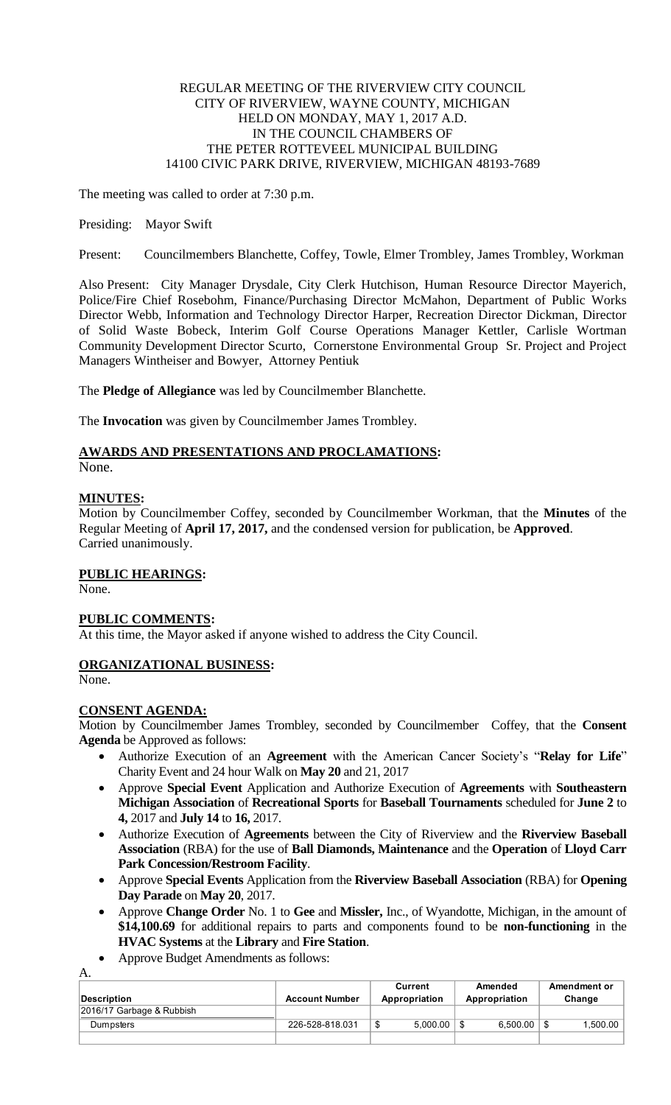#### REGULAR MEETING OF THE RIVERVIEW CITY COUNCIL CITY OF RIVERVIEW, WAYNE COUNTY, MICHIGAN HELD ON MONDAY, MAY 1, 2017 A.D. IN THE COUNCIL CHAMBERS OF THE PETER ROTTEVEEL MUNICIPAL BUILDING 14100 CIVIC PARK DRIVE, RIVERVIEW, MICHIGAN 48193-7689

The meeting was called to order at 7:30 p.m.

#### Presiding: Mayor Swift

Present: Councilmembers Blanchette, Coffey, Towle, Elmer Trombley, James Trombley, Workman

Also Present: City Manager Drysdale, City Clerk Hutchison, Human Resource Director Mayerich, Police/Fire Chief Rosebohm, Finance/Purchasing Director McMahon, Department of Public Works Director Webb, Information and Technology Director Harper, Recreation Director Dickman, Director of Solid Waste Bobeck, Interim Golf Course Operations Manager Kettler, Carlisle Wortman Community Development Director Scurto, Cornerstone Environmental Group Sr. Project and Project Managers Wintheiser and Bowyer, Attorney Pentiuk

The **Pledge of Allegiance** was led by Councilmember Blanchette.

The **Invocation** was given by Councilmember James Trombley.

# **AWARDS AND PRESENTATIONS AND PROCLAMATIONS:**

None.

## **MINUTES:**

Motion by Councilmember Coffey, seconded by Councilmember Workman, that the **Minutes** of the Regular Meeting of **April 17, 2017,** and the condensed version for publication, be **Approved**. Carried unanimously.

## **PUBLIC HEARINGS:**

None.

# **PUBLIC COMMENTS:**

At this time, the Mayor asked if anyone wished to address the City Council.

## **ORGANIZATIONAL BUSINESS:**

None.

A.

## **CONSENT AGENDA:**

Motion by Councilmember James Trombley, seconded by Councilmember Coffey, that the **Consent Agenda** be Approved as follows:

- Authorize Execution of an **Agreement** with the American Cancer Society's "**Relay for Life**" Charity Event and 24 hour Walk on **May 20** and 21, 2017
- Approve **Special Event** Application and Authorize Execution of **Agreements** with **Southeastern Michigan Association** of **Recreational Sports** for **Baseball Tournaments** scheduled for **June 2** to **4,** 2017 and **July 14** to **16,** 2017.
- Authorize Execution of **Agreements** between the City of Riverview and the **Riverview Baseball Association** (RBA) for the use of **Ball Diamonds, Maintenance** and the **Operation** of **Lloyd Carr Park Concession/Restroom Facility**.
- Approve **Special Events** Application from the **Riverview Baseball Association** (RBA) for **Opening Day Parade** on **May 20**, 2017.
- Approve **Change Order** No. 1 to **Gee** and **Missler,** Inc., of Wyandotte, Michigan, in the amount of **\$14,100.69** for additional repairs to parts and components found to be **non-functioning** in the **HVAC Systems** at the **Library** and **Fire Station**.
- Approve Budget Amendments as follows:

| Description               | <b>Account Number</b> | Current<br>Appropriation | Amended<br>Appropriation | Amendment or<br>Change |
|---------------------------|-----------------------|--------------------------|--------------------------|------------------------|
| 2016/17 Garbage & Rubbish |                       |                          |                          |                        |
| Dumpsters                 | 226-528-818.031       | 5.000.00                 | 6.500.00                 | ا 500.00. ا            |
|                           |                       |                          |                          |                        |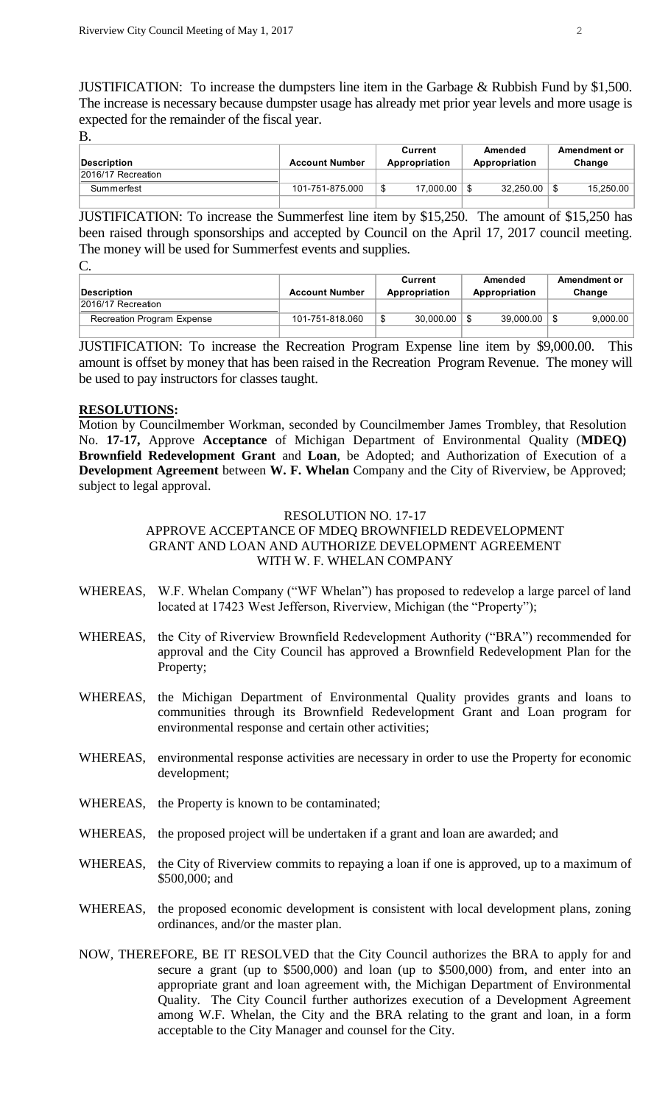JUSTIFICATION: To increase the dumpsters line item in the Garbage & Rubbish Fund by \$1,500. The increase is necessary because dumpster usage has already met prior year levels and more usage is expected for the remainder of the fiscal year.

B.

|                    |                       | Current       | Amended       | Amendment or |
|--------------------|-----------------------|---------------|---------------|--------------|
| Description        | <b>Account Number</b> | Appropriation | Appropriation | Change       |
| 2016/17 Recreation |                       |               |               |              |
| Summerfest         | 101-751-875.000       | 17.000.00     | 32.250.00     | 15,250.00    |
|                    |                       |               |               |              |

JUSTIFICATION: To increase the Summerfest line item by \$15,250. The amount of \$15,250 has been raised through sponsorships and accepted by Council on the April 17, 2017 council meeting. The money will be used for Summerfest events and supplies.  $\Gamma$ 

| <u>.</u>                   |                       |               |               |              |  |  |  |
|----------------------------|-----------------------|---------------|---------------|--------------|--|--|--|
|                            |                       | Current       | Amended       | Amendment or |  |  |  |
| Description                | <b>Account Number</b> | Appropriation | Appropriation | Change       |  |  |  |
| 2016/17 Recreation         |                       |               |               |              |  |  |  |
| Recreation Program Expense | 101-751-818.060       | 30.000.00     | 39.000.00     | 9.000.00     |  |  |  |
|                            |                       |               |               |              |  |  |  |

JUSTIFICATION: To increase the Recreation Program Expense line item by \$9,000.00. This amount is offset by money that has been raised in the Recreation Program Revenue. The money will be used to pay instructors for classes taught.

#### **RESOLUTIONS:**

Motion by Councilmember Workman, seconded by Councilmember James Trombley, that Resolution No. **17-17,** Approve **Acceptance** of Michigan Department of Environmental Quality (**MDEQ) Brownfield Redevelopment Grant** and **Loan**, be Adopted; and Authorization of Execution of a **Development Agreement** between **W. F. Whelan** Company and the City of Riverview, be Approved; subject to legal approval.

#### RESOLUTION NO. 17-17

# APPROVE ACCEPTANCE OF MDEQ BROWNFIELD REDEVELOPMENT GRANT AND LOAN AND AUTHORIZE DEVELOPMENT AGREEMENT WITH W. F. WHELAN COMPANY

- WHEREAS, W.F. Whelan Company ("WF Whelan") has proposed to redevelop a large parcel of land located at 17423 West Jefferson, Riverview, Michigan (the "Property");
- WHEREAS, the City of Riverview Brownfield Redevelopment Authority ("BRA") recommended for approval and the City Council has approved a Brownfield Redevelopment Plan for the Property;
- WHEREAS, the Michigan Department of Environmental Quality provides grants and loans to communities through its Brownfield Redevelopment Grant and Loan program for environmental response and certain other activities;
- WHEREAS, environmental response activities are necessary in order to use the Property for economic development;
- WHEREAS, the Property is known to be contaminated;
- WHEREAS, the proposed project will be undertaken if a grant and loan are awarded; and
- WHEREAS, the City of Riverview commits to repaying a loan if one is approved, up to a maximum of \$500,000; and
- WHEREAS, the proposed economic development is consistent with local development plans, zoning ordinances, and/or the master plan.
- NOW, THEREFORE, BE IT RESOLVED that the City Council authorizes the BRA to apply for and secure a grant (up to \$500,000) and loan (up to \$500,000) from, and enter into an appropriate grant and loan agreement with, the Michigan Department of Environmental Quality. The City Council further authorizes execution of a Development Agreement among W.F. Whelan, the City and the BRA relating to the grant and loan, in a form acceptable to the City Manager and counsel for the City.